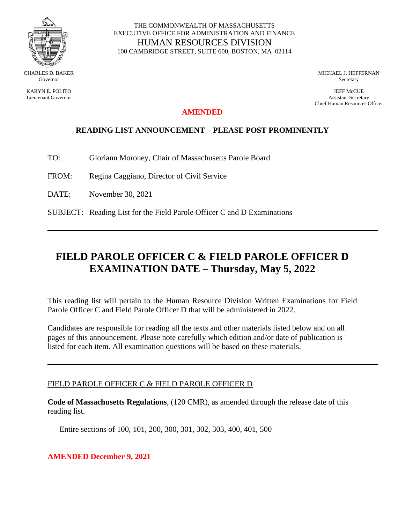

KARYN E. POLITO Lieutenant Governor

#### THE COMMONWEALTH OF MASSACHUSETTS EXECUTIVE OFFICE FOR ADMINISTRATION AND FINANCE HUMAN RESOURCES DIVISION 100 CAMBRIDGE STREET, SUITE 600, BOSTON, MA 02114

MICHAEL J. HEFFERNAN **Secretary** 

JEFF McCUE Assistant Secretary Chief Human Resources Officer

## **AMENDED**

## **READING LIST ANNOUNCEMENT – PLEASE POST PROMINENTLY**

- TO: Gloriann Moroney, Chair of Massachusetts Parole Board
- FROM: Regina Caggiano, Director of Civil Service
- DATE: November 30, 2021
- SUBJECT: Reading List for the Field Parole Officer C and D Examinations

# **FIELD PAROLE OFFICER C & FIELD PAROLE OFFICER D EXAMINATION DATE – Thursday, May 5, 2022**

**\_\_\_\_\_\_\_\_\_\_\_\_\_\_\_\_\_\_\_\_\_\_\_\_\_\_\_\_\_\_\_\_\_\_\_\_\_\_\_\_\_\_\_\_\_\_\_\_\_\_**

This reading list will pertain to the Human Resource Division Written Examinations for Field Parole Officer C and Field Parole Officer D that will be administered in 2022.

Candidates are responsible for reading all the texts and other materials listed below and on all pages of this announcement. Please note carefully which edition and/or date of publication is listed for each item. All examination questions will be based on these materials.

**\_\_\_\_\_\_\_\_\_\_\_\_\_\_\_\_\_\_\_\_\_\_\_\_\_\_\_\_\_\_\_\_\_\_\_\_\_\_\_\_\_\_\_\_\_\_\_\_\_\_**

#### FIELD PAROLE OFFICER C & FIELD PAROLE OFFICER D

**Code of Massachusetts Regulations**, (120 CMR), as amended through the release date of this reading list.

Entire sections of 100, 101, 200, 300, 301, 302, 303, 400, 401, 500

## **AMENDED December 9, 2021**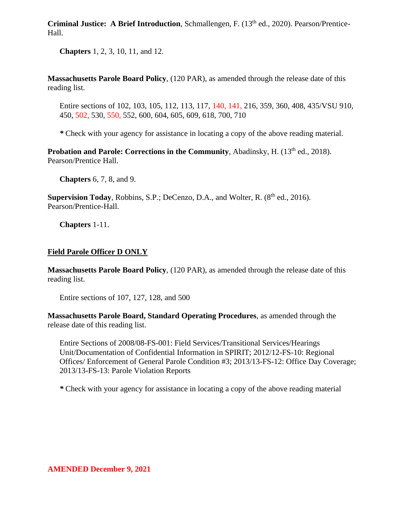**Criminal Justice:** A Brief Introduction, Schmallengen, F. (13<sup>th</sup> ed., 2020). Pearson/Prentice-Hall.

**Chapters** 1, 2, 3, 10, 11, and 12.

**Massachusetts Parole Board Policy**, (120 PAR), as amended through the release date of this reading list.

Entire sections of 102, 103, 105, 112, 113, 117, 140, 141, 216, 359, 360, 408, 435/VSU 910, 450, 502, 530, 550, 552, 600, 604, 605, 609, 618, 700, 710

*\** Check with your agency for assistance in locating a copy of the above reading material.

**Probation and Parole: Corrections in the Community**, Abadinsky, H. (13<sup>th</sup> ed., 2018). Pearson/Prentice Hall.

**Chapters** 6, 7, 8, and 9.

**Supervision Today**, Robbins, S.P.; DeCenzo, D.A., and Wolter, R. (8<sup>th</sup> ed., 2016). Pearson/Prentice-Hall.

**Chapters** 1-11.

## **Field Parole Officer D ONLY**

**Massachusetts Parole Board Policy**, (120 PAR), as amended through the release date of this reading list.

Entire sections of 107, 127, 128, and 500

**Massachusetts Parole Board, Standard Operating Procedures**, as amended through the release date of this reading list.

Entire Sections of 2008/08-FS-001: Field Services/Transitional Services/Hearings Unit/Documentation of Confidential Information in SPIRIT; 2012/12-FS-10: Regional Offices/ Enforcement of General Parole Condition #3; 2013/13-FS-12: Office Day Coverage; 2013/13-FS-13: Parole Violation Reports

*\** Check with your agency for assistance in locating a copy of the above reading material